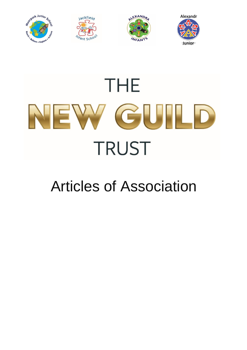







# **THE** NEW GUILD **TRUST**

# Articles of Association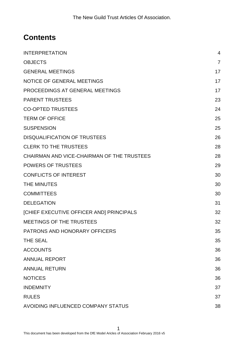## **Contents**

| <b>INTERPRETATION</b>                      | $\overline{4}$ |
|--------------------------------------------|----------------|
| <b>OBJECTS</b>                             | $\overline{7}$ |
| <b>GENERAL MEETINGS</b>                    | 17             |
| <b>NOTICE OF GENERAL MEETINGS</b>          | 17             |
| PROCEEDINGS AT GENERAL MEETINGS            | 17             |
| <b>PARENT TRUSTEES</b>                     | 23             |
| <b>CO-OPTED TRUSTEES</b>                   | 24             |
| <b>TERM OF OFFICE</b>                      | 25             |
| <b>SUSPENSION</b>                          | 25             |
| <b>DISQUALIFICATION OF TRUSTEES</b>        | 26             |
| <b>CLERK TO THE TRUSTEES</b>               | 28             |
| CHAIRMAN AND VICE-CHAIRMAN OF THE TRUSTEES | 28             |
| <b>POWERS OF TRUSTEES</b>                  | 29             |
| <b>CONFLICTS OF INTEREST</b>               | 30             |
| <b>THE MINUTES</b>                         | 30             |
| <b>COMMITTEES</b>                          | 30             |
| <b>DELEGATION</b>                          | 31             |
| [CHIEF EXECUTIVE OFFICER AND] PRINCIPALS   | 32             |
| <b>MEETINGS OF THE TRUSTEES</b>            | 32             |
| PATRONS AND HONORARY OFFICERS              | 35             |
| <b>THE SEAL</b>                            | 35             |
| <b>ACCOUNTS</b>                            | 36             |
| <b>ANNUAL REPORT</b>                       | 36             |
| <b>ANNUAL RETURN</b>                       | 36             |
| <b>NOTICES</b>                             | 36             |
| <b>INDEMNITY</b>                           | 37             |
| <b>RULES</b>                               | 37             |
| AVOIDING INFLUENCED COMPANY STATUS         | 38             |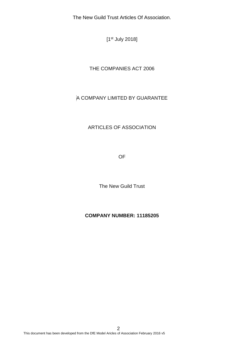[1<sup>st</sup> July 2018]

#### THE COMPANIES ACT 2006

#### A COMPANY LIMITED BY GUARANTEE

#### ARTICLES OF ASSOCIATION

OF

The New Guild Trust

#### **COMPANY NUMBER: 11185205**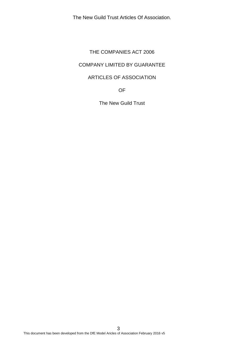#### THE COMPANIES ACT 2006

#### COMPANY LIMITED BY GUARANTEE

#### ARTICLES OF ASSOCIATION

OF

The New Guild Trust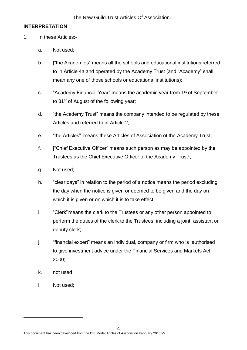#### <span id="page-4-0"></span>**INTERPRETATION**

- 1. In these Articles:
	- a. Not used;
	- b. ["the Academies" means all the schools and educational institutions referred to in Article 4a and operated by the Academy Trust (and "Academy" shall mean any one of those schools or educational institutions);
	- c. "Academy Financial Year" means the academic year from 1<sup>st</sup> of September to 31<sup>st</sup> of August of the following year;
	- d. "the Academy Trust" means the company intended to be regulated by these Articles and referred to in Article 2;
	- e. "the Articles" means these Articles of Association of the Academy Trust;
	- f. ["Chief Executive Officer" means such person as may be appointed by the Trustees as the Chief Executive Officer of the Academy Trust<sup>1</sup>;
	- g. Not used;
	- h. "clear days" in relation to the period of a notice means the period excluding the day when the notice is given or deemed to be given and the day on which it is given or on which it is to take effect;
	- i. "Clerk"means the clerk to the Trustees or any other person appointed to perform the duties of the clerk to the Trustees, including a joint, assistant or deputy clerk;
	- j. "financial expert" means an individual, company or firm who is authorised to give investment advice under the Financial Services and Markets Act 2000;
	- k. not used
	- l. Not used;

-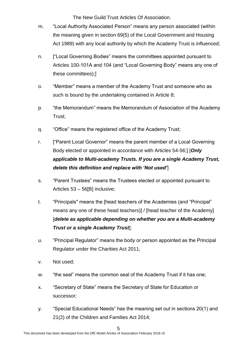- m. "Local Authority Associated Person" means any person associated (within the meaning given in section 69(5) of the Local Government and Housing Act 1989) with any local authority by which the Academy Trust is influenced;
- n. ["Local Governing Bodies" means the committees appointed pursuant to Articles 100-101A and 104 (and "Local Governing Body" means any one of these committees);]
- o. "Member" means a member of the Academy Trust and someone who as such is bound by the undertaking contained in Article 8;
- p. "the Memorandum" means the Memorandum of Association of the Academy Trust;
- q. "Office" means the registered office of the Academy Trust;
- r. ["Parent Local Governor" means the parent member of a Local Governing Body elected or appointed in accordance with Articles 54-56;] [*Only applicable to Multi-academy Trusts. If you are a single Academy Trust, delete this definition and replace with 'Not used'*]
- s. "Parent Trustees" means the Trustees elected or appointed pursuant to Articles 53 – 56[B] inclusive;
- t. "Principals" means the [head teachers of the Academies (and "Principal" means any one of these head teachers)] / [head teacher of the Academy] [*delete as applicable depending on whether you are a Multi-academy Trust or a single Academy Trust*];
- u. "Principal Regulator" means the body or person appointed as the Principal Regulator under the Charities Act 2011;
- v. Not used;
- w. "the seal" means the common seal of the Academy Trust if it has one;
- x. "Secretary of State" means the Secretary of State for Education or successor;
- y. "Special Educational Needs" has the meaning set out in sections 20(1) and 21(2) of the Children and Families Act 2014;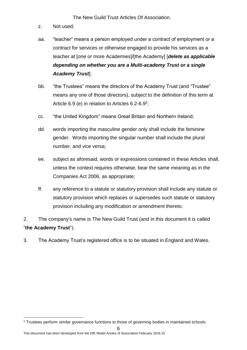- z. Not used;
- aa. "teacher" means a person employed under a contract of employment or a contract for services or otherwise engaged to provide his services as a teacher at [one or more Academies]/[the Academy] [*delete as applicable depending on whether you are a Multi-academy Trust or a single Academy Trust*];
- bb. "the Trustees" means the directors of the Academy Trust (and "Trustee" means any one of those directors), subject to the definition of this term at Article  $6.9$  (e) in relation to Articles  $6.2 - 6.9^2$ ;
- cc. "the United Kingdom" means Great Britain and Northern Ireland;
- dd. words importing the masculine gender only shall include the feminine gender. Words importing the singular number shall include the plural number, and vice versa;
- ee. subject as aforesaid, words or expressions contained in these Articles shall, unless the context requires otherwise, bear the same meaning as in the Companies Act 2006, as appropriate;
- ff. any reference to a statute or statutory provision shall include any statute or statutory provision which replaces or supersedes such statute or statutory provision including any modification or amendment thereto.
- 2. The company's name is The New Guild Trust (and in this document it is called "**the Academy Trust**").
- 3. The Academy Trust's registered office is to be situated in England and Wales.

<sup>-</sup><sup>2</sup> Trustees perform similar governance functions to those of governing bodies in maintained schools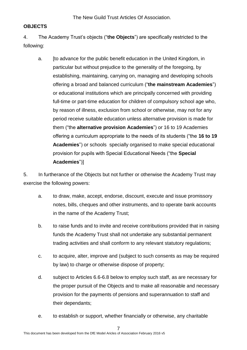#### <span id="page-7-0"></span>**OBJECTS**

4. The Academy Trust's objects ("**the Objects**") are specifically restricted to the following:

a. [to advance for the public benefit education in the United Kingdom, in particular but without prejudice to the generality of the foregoing, by establishing, maintaining, carrying on, managing and developing schools offering a broad and balanced curriculum ("**the mainstream Academies**") or educational institutions which are principally concerned with providing full-time or part-time education for children of compulsory school age who, by reason of illness, exclusion from school or otherwise, may not for any period receive suitable education unless alternative provision is made for them ("the **alternative provision Academies**") or 16 to 19 Academies offering a curriculum appropriate to the needs of its students ("the **16 to 19 Academies**") or schools specially organised to make special educational provision for pupils with Special Educational Needs ("the **Special Academies**")]

5. In furtherance of the Objects but not further or otherwise the Academy Trust may exercise the following powers:

- a. to draw, make, accept, endorse, discount, execute and issue promissory notes, bills, cheques and other instruments, and to operate bank accounts in the name of the Academy Trust;
- b. to raise funds and to invite and receive contributions provided that in raising funds the Academy Trust shall not undertake any substantial permanent trading activities and shall conform to any relevant statutory regulations;
- c. to acquire, alter, improve and (subject to such consents as may be required by law) to charge or otherwise dispose of property;
- d. subject to Articles 6.6-6.8 below to employ such staff, as are necessary for the proper pursuit of the Objects and to make all reasonable and necessary provision for the payments of pensions and superannuation to staff and their dependants;
- e. to establish or support, whether financially or otherwise, any charitable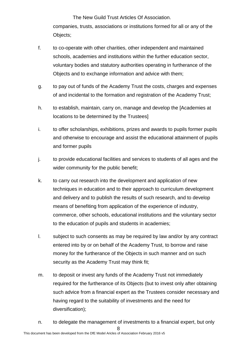The New Guild Trust Articles Of Association. companies, trusts, associations or institutions formed for all or any of the Objects;

- f. to co-operate with other charities, other independent and maintained schools, academies and institutions within the further education sector, voluntary bodies and statutory authorities operating in furtherance of the Objects and to exchange information and advice with them;
- g. to pay out of funds of the Academy Trust the costs, charges and expenses of and incidental to the formation and registration of the Academy Trust;
- h. to establish, maintain, carry on, manage and develop the [Academies at locations to be determined by the Trustees]
- i. to offer scholarships, exhibitions, prizes and awards to pupils former pupils and otherwise to encourage and assist the educational attainment of pupils and former pupils
- j. to provide educational facilities and services to students of all ages and the wider community for the public benefit;
- k. to carry out research into the development and application of new techniques in education and to their approach to curriculum development and delivery and to publish the results of such research, and to develop means of benefiting from application of the experience of industry, commerce, other schools, educational institutions and the voluntary sector to the education of pupils and students in academies;
- l. subject to such consents as may be required by law and/or by any contract entered into by or on behalf of the Academy Trust, to borrow and raise money for the furtherance of the Objects in such manner and on such security as the Academy Trust may think fit;
- m. to deposit or invest any funds of the Academy Trust not immediately required for the furtherance of its Objects (but to invest only after obtaining such advice from a financial expert as the Trustees consider necessary and having regard to the suitability of investments and the need for diversification);
- 8 n. to delegate the management of investments to a financial expert, but only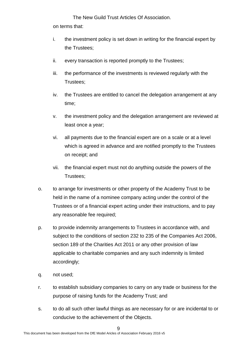The New Guild Trust Articles Of Association. on terms that:

- i. the investment policy is set down in writing for the financial expert by the Trustees;
- ii. every transaction is reported promptly to the Trustees;
- iii. the performance of the investments is reviewed regularly with the Trustees;
- iv. the Trustees are entitled to cancel the delegation arrangement at any time;
- v. the investment policy and the delegation arrangement are reviewed at least once a year;
- vi. all payments due to the financial expert are on a scale or at a level which is agreed in advance and are notified promptly to the Trustees on receipt; and
- vii. the financial expert must not do anything outside the powers of the Trustees;
- o. to arrange for investments or other property of the Academy Trust to be held in the name of a nominee company acting under the control of the Trustees or of a financial expert acting under their instructions, and to pay any reasonable fee required;
- p. to provide indemnity arrangements to Trustees in accordance with, and subject to the conditions of section 232 to 235 of the Companies Act 2006, section 189 of the Charities Act 2011 or any other provision of law applicable to charitable companies and any such indemnity is limited accordingly;
- q. not used;
- r. to establish subsidiary companies to carry on any trade or business for the purpose of raising funds for the Academy Trust; and
- s. to do all such other lawful things as are necessary for or are incidental to or conducive to the achievement of the Objects.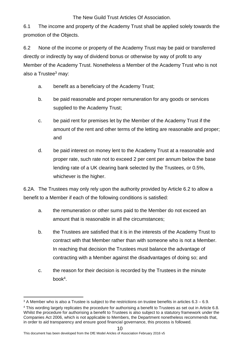6.1 The income and property of the Academy Trust shall be applied solely towards the promotion of the Objects.

6.2 None of the income or property of the Academy Trust may be paid or transferred directly or indirectly by way of dividend bonus or otherwise by way of profit to any Member of the Academy Trust. Nonetheless a Member of the Academy Trust who is not also a Trustee $3$  may:

- a. benefit as a beneficiary of the Academy Trust;
- b. be paid reasonable and proper remuneration for any goods or services supplied to the Academy Trust;
- c. be paid rent for premises let by the Member of the Academy Trust if the amount of the rent and other terms of the letting are reasonable and proper; and
- d. be paid interest on money lent to the Academy Trust at a reasonable and proper rate, such rate not to exceed 2 per cent per annum below the base lending rate of a UK clearing bank selected by the Trustees, or 0.5%, whichever is the higher.

6.2A. The Trustees may only rely upon the authority provided by Article 6.2 to allow a benefit to a Member if each of the following conditions is satisfied:

- a. the remuneration or other sums paid to the Member do not exceed an amount that is reasonable in all the circumstances;
- b. the Trustees are satisfied that it is in the interests of the Academy Trust to contract with that Member rather than with someone who is not a Member. In reaching that decision the Trustees must balance the advantage of contracting with a Member against the disadvantages of doing so; and
- c. the reason for their decision is recorded by the Trustees in the minute book<sup>4</sup> .

This document has been developed from the DfE Model Aricles of Association February 2016 v5

-

 $3$  A Member who is also a Trustee is subject to the restrictions on trustee benefits in articles  $6.3 - 6.9$ . <sup>4</sup> This wording largely replicates the procedure for authorising a benefit to Trustees as set out in Article 6.8. Whilst the procedure for authorising a benefit to Trustees is also subject to a statutory framework under the Companies Act 2006, which is not applicable to Members, the Department nonetheless recommends that, in order to aid transparency and ensure good financial governance, this process is followed.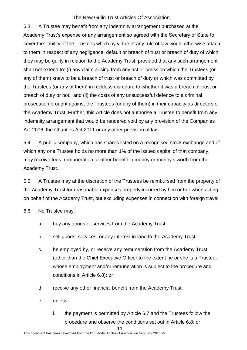6.3 A Trustee may benefit from any indemnity arrangement purchased at the Academy Trust's expense or any arrangement so agreed with the Secretary of State to cover the liability of the Trustees which by virtue of any rule of law would otherwise attach to them in respect of any negligence, default or breach of trust or breach of duty of which they may be guilty in relation to the Academy Trust: provided that any such arrangement shall not extend to: (i) any claim arising from any act or omission which the Trustees (or any of them) knew to be a breach of trust or breach of duty or which was committed by the Trustees (or any of them) in reckless disregard to whether it was a breach of trust or breach of duty or not; and (ii) the costs of any unsuccessful defence to a criminal prosecution brought against the Trustees (or any of them) in their capacity as directors of the Academy Trust. Further, this Article does not authorise a Trustee to benefit from any indemnity arrangement that would be rendered void by any provision of the Companies Act 2006, the Charities Act 2011 or any other provision of law.

6.4 A public company, which has shares listed on a recognised stock exchange and of which any one Trustee holds no more than 1% of the issued capital of that company, may receive fees, remuneration or other benefit in money or money's worth from the Academy Trust.

6.5 A Trustee may at the discretion of the Trustees be reimbursed from the property of the Academy Trust for reasonable expenses properly incurred by him or her when acting on behalf of the Academy Trust, but excluding expenses in connection with foreign travel.

6.6 No Trustee may:

- a. buy any goods or services from the Academy Trust;
- b. sell goods, services, or any interest in land to the Academy Trust;
- c. be employed by, or receive any remuneration from the Academy Trust (other than the Chief Executive Officer to the extent he or she is a Trustee, whose employment and/or remuneration is subject to the procedure and conditions in Article 6.8); or
- d. receive any other financial benefit from the Academy Trust;
- e. unless:
	- i. the payment is permitted by Article 6.7 and the Trustees follow the procedure and observe the conditions set out in Article 6.8; or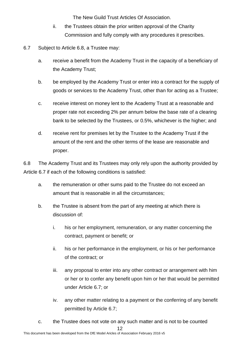- ii. the Trustees obtain the prior written approval of the Charity Commission and fully comply with any procedures it prescribes.
- 6.7 Subject to Article 6.8, a Trustee may:
	- a. receive a benefit from the Academy Trust in the capacity of a beneficiary of the Academy Trust;
	- b. be employed by the Academy Trust or enter into a contract for the supply of goods or services to the Academy Trust, other than for acting as a Trustee;
	- c. receive interest on money lent to the Academy Trust at a reasonable and proper rate not exceeding 2% per annum below the base rate of a clearing bank to be selected by the Trustees, or 0.5%, whichever is the higher; and
	- d. receive rent for premises let by the Trustee to the Academy Trust if the amount of the rent and the other terms of the lease are reasonable and proper.

6.8 The Academy Trust and its Trustees may only rely upon the authority provided by Article 6.7 if each of the following conditions is satisfied:

- a. the remuneration or other sums paid to the Trustee do not exceed an amount that is reasonable in all the circumstances;
- b. the Trustee is absent from the part of any meeting at which there is discussion of:
	- i. his or her employment, remuneration, or any matter concerning the contract, payment or benefit; or
	- ii. his or her performance in the employment, or his or her performance of the contract; or
	- iii. any proposal to enter into any other contract or arrangement with him or her or to confer any benefit upon him or her that would be permitted under Article 6.7; or
	- iv. any other matter relating to a payment or the conferring of any benefit permitted by Article 6.7;
- 12 This document has been developed from the DfE Model Aricles of Association February 2016 v5 c. the Trustee does not vote on any such matter and is not to be counted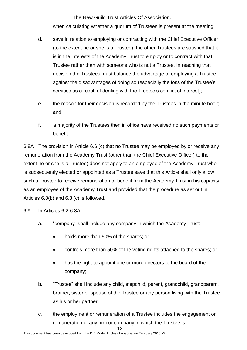when calculating whether a quorum of Trustees is present at the meeting:

- d. save in relation to employing or contracting with the Chief Executive Officer (to the extent he or she is a Trustee), the other Trustees are satisfied that it is in the interests of the Academy Trust to employ or to contract with that Trustee rather than with someone who is not a Trustee. In reaching that decision the Trustees must balance the advantage of employing a Trustee against the disadvantages of doing so (especially the loss of the Trustee's services as a result of dealing with the Trustee's conflict of interest);
- e. the reason for their decision is recorded by the Trustees in the minute book; and
- f. a majority of the Trustees then in office have received no such payments or benefit.

6.8A The provision in Article 6.6 (c) that no Trustee may be employed by or receive any remuneration from the Academy Trust (other than the Chief Executive Officer) to the extent he or she is a Trustee) does not apply to an employee of the Academy Trust who is subsequently elected or appointed as a Trustee save that this Article shall only allow such a Trustee to receive remuneration or benefit from the Academy Trust in his capacity as an employee of the Academy Trust and provided that the procedure as set out in Articles 6.8(b) and 6.8 (c) is followed.

- 6.9 In Articles 6.2-6.8A:
	- a. "company" shall include any company in which the Academy Trust:
		- holds more than 50% of the shares; or
		- controls more than 50% of the voting rights attached to the shares; or
		- has the right to appoint one or more directors to the board of the company;
	- b. "Trustee" shall include any child, stepchild, parent, grandchild, grandparent, brother, sister or spouse of the Trustee or any person living with the Trustee as his or her partner;
	- c. the employment or remuneration of a Trustee includes the engagement or remuneration of any firm or company in which the Trustee is: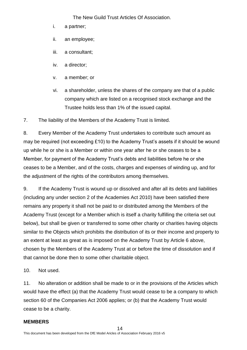- i. a partner;
- ii. an employee;
- iii. a consultant;
- iv. a director;
- v. a member; or
- vi. a shareholder, unless the shares of the company are that of a public company which are listed on a recognised stock exchange and the Trustee holds less than 1% of the issued capital.

7. The liability of the Members of the Academy Trust is limited.

8. Every Member of the Academy Trust undertakes to contribute such amount as may be required (not exceeding £10) to the Academy Trust's assets if it should be wound up while he or she is a Member or within one year after he or she ceases to be a Member, for payment of the Academy Trust's debts and liabilities before he or she ceases to be a Member, and of the costs, charges and expenses of winding up, and for the adjustment of the rights of the contributors among themselves.

9. If the Academy Trust is wound up or dissolved and after all its debts and liabilities (including any under section 2 of the Academies Act 2010) have been satisfied there remains any property it shall not be paid to or distributed among the Members of the Academy Trust (except for a Member which is itself a charity fulfilling the criteria set out below), but shall be given or transferred to some other charity or charities having objects similar to the Objects which prohibits the distribution of its or their income and property to an extent at least as great as is imposed on the Academy Trust by Article 6 above, chosen by the Members of the Academy Trust at or before the time of dissolution and if that cannot be done then to some other charitable object.

10. Not used.

11. No alteration or addition shall be made to or in the provisions of the Articles which would have the effect (a) that the Academy Trust would cease to be a company to which section 60 of the Companies Act 2006 applies; or (b) that the Academy Trust would cease to be a charity.

#### **MEMBERS**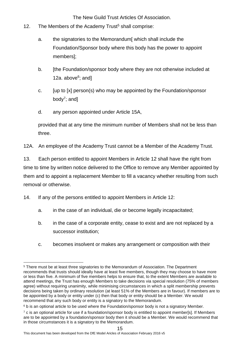- 12. The Members of the Academy Trust<sup>5</sup> shall comprise:
	- a. the signatories to the Memorandum[ which shall include the Foundation/Sponsor body where this body has the power to appoint members];
	- b. [the Foundation/sponsor body where they are not otherwise included at 12a. above<sup>6</sup>; and]
	- c. [up to [x] person(s) who may be appointed by the Foundation/sponsor body<sup>7</sup>; and]
	- d. any person appointed under Article 15A,

provided that at any time the minimum number of Members shall not be less than three.

12A. An employee of the Academy Trust cannot be a Member of the Academy Trust.

13. Each person entitled to appoint Members in Article 12 shall have the right from time to time by written notice delivered to the Office to remove any Member appointed by them and to appoint a replacement Member to fill a vacancy whether resulting from such removal or otherwise.

- 14. If any of the persons entitled to appoint Members in Article 12:
	- a. in the case of an individual, die or become legally incapacitated;
	- b. in the case of a corporate entity, cease to exist and are not replaced by a successor institution;
	- c. becomes insolvent or makes any arrangement or composition with their

<sup>-</sup><sup>5</sup> There must be at least three signatories to the Memorandum of Association. The Department recommends that trusts should ideally have at least five members, though they may choose to have more or less than five. A minimum of five members helps to ensure that, to the extent Members are available to attend meetings, the Trust has enough Members to take decisions via special resolution (75% of members agree) without requiring unanimity, while minimising circumstances in which a split membership prevents decisions being taken by ordinary resolution (at least 51% of the Members are in favour). If members are to be appointed by a body or entity under (c) then that body or entity should be a Member. We would recommend that any such body or entity is a signatory to the Memorandum.

<sup>&</sup>lt;sup>6</sup> b is an optional article to be used where the Foundation/sponsor body is not a signatory Member.

<sup>&</sup>lt;sup>7</sup> c is an optional article for use if a foundation/sponsor body is entitled to appoint member[s]. If Members are to be appointed by a foundation/sponsor body then it should be a Member. We would recommend that in those circumstances it is a signatory to the Memorandum.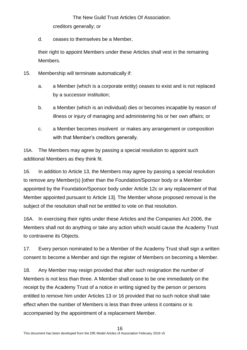The New Guild Trust Articles Of Association. creditors generally; or

d. ceases to themselves be a Member,

their right to appoint Members under these Articles shall vest in the remaining Members.

- 15. Membership will terminate automatically if:
	- a. a Member (which is a corporate entity) ceases to exist and is not replaced by a successor institution;
	- b. a Member (which is an individual) dies or becomes incapable by reason of illness or injury of managing and administering his or her own affairs; or
	- c. a Member becomes insolvent or makes any arrangement or composition with that Member's creditors generally.

15A. The Members may agree by passing a special resolution to appoint such additional Members as they think fit.

16. In addition to Article 13, the Members may agree by passing a special resolution to remove any Member(s) [other than the Foundation/Sponsor body or a Member appointed by the Foundation/Sponsor body under Article 12c or any replacement of that Member appointed pursuant to Article 13]. The Member whose proposed removal is the subject of the resolution shall not be entitled to vote on that resolution.

16A. In exercising their rights under these Articles and the Companies Act 2006, the Members shall not do anything or take any action which would cause the Academy Trust to contravene its Objects.

17. Every person nominated to be a Member of the Academy Trust shall sign a written consent to become a Member and sign the register of Members on becoming a Member.

18. Any Member may resign provided that after such resignation the number of Members is not less than three. A Member shall cease to be one immediately on the receipt by the Academy Trust of a notice in writing signed by the person or persons entitled to remove him under Articles 13 or 16 provided that no such notice shall take effect when the number of Members is less than three unless it contains or is accompanied by the appointment of a replacement Member.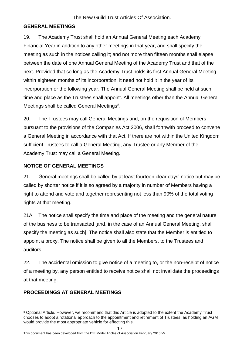#### <span id="page-17-0"></span>**GENERAL MEETINGS**

19. The Academy Trust shall hold an Annual General Meeting each Academy Financial Year in addition to any other meetings in that year, and shall specify the meeting as such in the notices calling it; and not more than fifteen months shall elapse between the date of one Annual General Meeting of the Academy Trust and that of the next. Provided that so long as the Academy Trust holds its first Annual General Meeting within eighteen months of its incorporation, it need not hold it in the year of its incorporation or the following year. The Annual General Meeting shall be held at such time and place as the Trustees shall appoint. All meetings other than the Annual General Meetings shall be called General Meetings<sup>8</sup>.

20. The Trustees may call General Meetings and, on the requisition of Members pursuant to the provisions of the Companies Act 2006, shall forthwith proceed to convene a General Meeting in accordance with that Act. If there are not within the United Kingdom sufficient Trustees to call a General Meeting, any Trustee or any Member of the Academy Trust may call a General Meeting.

#### <span id="page-17-1"></span>**NOTICE OF GENERAL MEETINGS**

21. General meetings shall be called by at least fourteen clear days' notice but may be called by shorter notice if it is so agreed by a majority in number of Members having a right to attend and vote and together representing not less than 90% of the total voting rights at that meeting.

21A. The notice shall specify the time and place of the meeting and the general nature of the business to be transacted [and, in the case of an Annual General Meeting, shall specify the meeting as such]. The notice shall also state that the Member is entitled to appoint a proxy. The notice shall be given to all the Members, to the Trustees and auditors.

22. The accidental omission to give notice of a meeting to, or the non-receipt of notice of a meeting by, any person entitled to receive notice shall not invalidate the proceedings at that meeting.

#### <span id="page-17-2"></span>**PROCEEDINGS AT GENERAL MEETINGS**

This document has been developed from the DfE Model Aricles of Association February 2016 v5

<sup>-</sup><sup>8</sup> Optional Article. However, we recommend that this Article is adopted to the extent the Academy Trust chooses to adopt a rotational approach to the appointment and retirement of Trustees, as holding an AGM would provide the most appropriate vehicle for effecting this.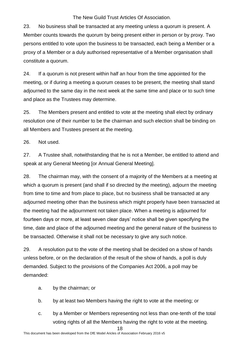23. No business shall be transacted at any meeting unless a quorum is present. A Member counts towards the quorum by being present either in person or by proxy. Two persons entitled to vote upon the business to be transacted, each being a Member or a proxy of a Member or a duly authorised representative of a Member organisation shall constitute a quorum.

24. If a quorum is not present within half an hour from the time appointed for the meeting, or if during a meeting a quorum ceases to be present, the meeting shall stand adjourned to the same day in the next week at the same time and place or to such time and place as the Trustees may determine.

25. The Members present and entitled to vote at the meeting shall elect by ordinary resolution one of their number to be the chairman and such election shall be binding on all Members and Trustees present at the meeting.

26. Not used.

27. A Trustee shall, notwithstanding that he is not a Member, be entitled to attend and speak at any General Meeting [or Annual General Meeting].

28. The chairman may, with the consent of a majority of the Members at a meeting at which a quorum is present (and shall if so directed by the meeting), adjourn the meeting from time to time and from place to place, but no business shall be transacted at any adjourned meeting other than the business which might properly have been transacted at the meeting had the adjournment not taken place. When a meeting is adjourned for fourteen days or more, at least seven clear days' notice shall be given specifying the time, date and place of the adjourned meeting and the general nature of the business to be transacted. Otherwise it shall not be necessary to give any such notice.

29. A resolution put to the vote of the meeting shall be decided on a show of hands unless before, or on the declaration of the result of the show of hands, a poll is duly demanded. Subject to the provisions of the Companies Act 2006, a poll may be demanded:

- a. by the chairman; or
- b. by at least two Members having the right to vote at the meeting; or
- c. by a Member or Members representing not less than one-tenth of the total voting rights of all the Members having the right to vote at the meeting.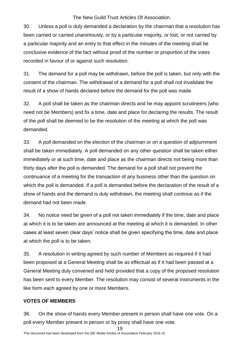30. Unless a poll is duly demanded a declaration by the chairman that a resolution has been carried or carried unanimously, or by a particular majority, or lost, or not carried by a particular majority and an entry to that effect in the minutes of the meeting shall be conclusive evidence of the fact without proof of the number or proportion of the votes recorded in favour of or against such resolution.

31. The demand for a poll may be withdrawn, before the poll is taken, but only with the consent of the chairman. The withdrawal of a demand for a poll shall not invalidate the result of a show of hands declared before the demand for the poll was made.

32. A poll shall be taken as the chairman directs and he may appoint scrutineers (who need not be Members) and fix a time, date and place for declaring the results. The result of the poll shall be deemed to be the resolution of the meeting at which the poll was demanded.

33. A poll demanded on the election of the chairman or on a question of adjournment shall be taken immediately. A poll demanded on any other question shall be taken either immediately or at such time, date and place as the chairman directs not being more than thirty days after the poll is demanded. The demand for a poll shall not prevent the continuance of a meeting for the transaction of any business other than the question on which the poll is demanded. If a poll is demanded before the declaration of the result of a show of hands and the demand is duly withdrawn, the meeting shall continue as if the demand had not been made.

34. No notice need be given of a poll not taken immediately if the time, date and place at which it is to be taken are announced at the meeting at which it is demanded. In other cases at least seven clear days' notice shall be given specifying the time, date and place at which the poll is to be taken.

35. A resolution in writing agreed by such number of Members as required if it had been proposed at a General Meeting shall be as effectual as if it had been passed at a General Meeting duly convened and held provided that a copy of the proposed resolution has been sent to every Member. The resolution may consist of several instruments in the like form each agreed by one or more Members.

#### **VOTES OF MEMBERS**

36. On the show of hands every Member present in person shall have one vote. On a poll every Member present in person or by proxy shall have one vote.

<sup>19</sup>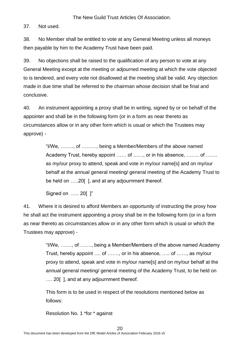37. Not used.

38. No Member shall be entitled to vote at any General Meeting unless all moneys then payable by him to the Academy Trust have been paid.

39. No objections shall be raised to the qualification of any person to vote at any General Meeting except at the meeting or adjourned meeting at which the vote objected to is tendered, and every vote not disallowed at the meeting shall be valid. Any objection made in due time shall be referred to the chairman whose decision shall be final and conclusive.

40. An instrument appointing a proxy shall be in writing, signed by or on behalf of the appointer and shall be in the following form (or in a form as near thereto as circumstances allow or in any other form which is usual or which the Trustees may approve) -

> "I/We, …….., of ………, being a Member/Members of the above named Academy Trust, hereby appoint …… of ……, or in his absence, …….. of ……. as my/our proxy to attend, speak and vote in my/our name[s] and on my/our behalf at the annual general meeting/ general meeting of the Academy Trust to be held on .....20[], and at any adjournment thereof.

Signed on ….. 20[ ]"

41. Where it is desired to afford Members an opportunity of instructing the proxy how he shall act the instrument appointing a proxy shall be in the following form (or in a form as near thereto as circumstances allow or in any other form which is usual or which the Trustees may approve) -

> "I/We, ……., of ……., being a Member/Members of the above named Academy Trust, hereby appoint …. of ……., or in his absence, ….. of ……, as my/our proxy to attend, speak and vote in my/our name[s] and on my/our behalf at the annual general meeting/ general meeting of the Academy Trust, to be held on .... 20[], and at any adjournment thereof.

This form is to be used in respect of the resolutions mentioned below as follows:

Resolution No. 1 \*for \* against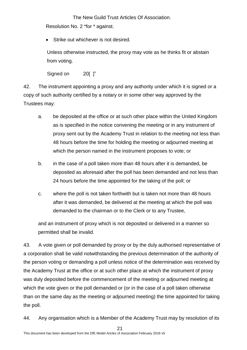Resolution No. 2 \*for \* against.

• Strike out whichever is not desired.

Unless otherwise instructed, the proxy may vote as he thinks fit or abstain from voting.

Signed on 20[ ]"

42. The instrument appointing a proxy and any authority under which it is signed or a copy of such authority certified by a notary or in some other way approved by the Trustees may:

- a. be deposited at the office or at such other place within the United Kingdom as is specified in the notice convening the meeting or in any instrument of proxy sent out by the Academy Trust in relation to the meeting not less than 48 hours before the time for holding the meeting or adjourned meeting at which the person named in the instrument proposes to vote; or
- b. in the case of a poll taken more than 48 hours after it is demanded, be deposited as aforesaid after the poll has been demanded and not less than 24 hours before the time appointed for the taking of the poll; or
- c. where the poll is not taken forthwith but is taken not more than 48 hours after it was demanded, be delivered at the meeting at which the poll was demanded to the chairman or to the Clerk or to any Trustee,

and an instrument of proxy which is not deposited or delivered in a manner so permitted shall be invalid.

43. A vote given or poll demanded by proxy or by the duly authorised representative of a corporation shall be valid notwithstanding the previous determination of the authority of the person voting or demanding a poll unless notice of the determination was received by the Academy Trust at the office or at such other place at which the instrument of proxy was duly deposited before the commencement of the meeting or adjourned meeting at which the vote given or the poll demanded or (or in the case of a poll taken otherwise than on the same day as the meeting or adjourned meeting) the time appointed for taking the poll.

44. Any organisation which is a Member of the Academy Trust may by resolution of its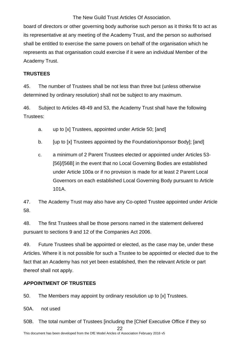board of directors or other governing body authorise such person as it thinks fit to act as its representative at any meeting of the Academy Trust, and the person so authorised shall be entitled to exercise the same powers on behalf of the organisation which he represents as that organisation could exercise if it were an individual Member of the Academy Trust.

#### **TRUSTEES**

45. The number of Trustees shall be not less than three but (unless otherwise determined by ordinary resolution) shall not be subject to any maximum.

46. Subject to Articles 48-49 and 53, the Academy Trust shall have the following Trustees:

- a. up to [x] Trustees, appointed under Article 50; [and]
- b. [up to [x] Trustees appointed by the Foundation/sponsor Body]; [and]
- c. a minimum of 2 Parent Trustees elected or appointed under Articles 53- [56]/[56B] in the event that no Local Governing Bodies are established under Article 100a or if no provision is made for at least 2 Parent Local Governors on each established Local Governing Body pursuant to Article 101A.

47. The Academy Trust may also have any Co-opted Trustee appointed under Article 58.

48. The first Trustees shall be those persons named in the statement delivered pursuant to sections 9 and 12 of the Companies Act 2006.

49. Future Trustees shall be appointed or elected, as the case may be, under these Articles. Where it is not possible for such a Trustee to be appointed or elected due to the fact that an Academy has not yet been established, then the relevant Article or part thereof shall not apply.

#### **APPOINTMENT OF TRUSTEES**

50. The Members may appoint by ordinary resolution up to [x] Trustees.

50A. not used

22 50B. The total number of Trustees [including the [Chief Executive Office if they so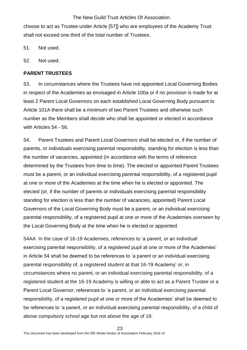choose to act as Trustee under Article [57]] who are employees of the Academy Trust shall not exceed one third of the total number of Trustees.

51. Not used.

52. Not used.

#### <span id="page-23-0"></span>**PARENT TRUSTEES**

53. In circumstances where the Trustees have not appointed Local Governing Bodies in respect of the Academies as envisaged in Article 100a or if no provision is made for at least 2 Parent Local Governors on each established Local Governing Body pursuant to Article 101A there shall be a minimum of two Parent Trustees and otherwise such number as the Members shall decide who shall be appointed or elected in accordance with Articles 54 - 56.

54. Parent Trustees and Parent Local Governors shall be elected or, if the number of parents, or individuals exercising parental responsibility, standing for election is less than the number of vacancies, appointed (in accordance with the terms of reference determined by the Trustees from time to time). The elected or appointed Parent Trustees must be a parent, or an individual exercising parental responsibility, of a registered pupil at one or more of the Academies at the time when he is elected or appointed. The elected (or, if the number of parents or individuals exercising parental responsibility standing for election is less than the number of vacancies, appointed) Parent Local Governors of the Local Governing Body must be a parent, or an individual exercising parental responsibility, of a registered pupil at one or more of the Academies overseen by the Local Governing Body at the time when he is elected or appointed.

54AA In the case of 16-19 Academies, references to 'a parent, or an individual exercising parental responsibility, of a registered pupil at one or more of the Academies' in Article 54 shall be deemed to be references to 'a parent or an individual exercising parental responsibility of, a registered student at that 16-19 Academy' or, in circumstances where no parent, or an individual exercising parental responsibility, of a registered student at the 16-19 Academy is willing or able to act as a Parent Trustee or a Parent Local Governor, references to 'a parent, or an individual exercising parental responsibility, of a registered pupil at one or more of the Academies' shall be deemed to be references to 'a parent, or an individual exercising parental responsibility, of a child of above compulsory school age but not above the age of 19.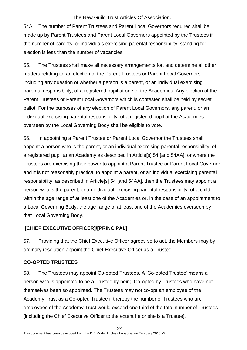54A. The number of Parent Trustees and Parent Local Governors required shall be made up by Parent Trustees and Parent Local Governors appointed by the Trustees if the number of parents, or individuals exercising parental responsibility, standing for election is less than the number of vacancies.

55. The Trustees shall make all necessary arrangements for, and determine all other matters relating to, an election of the Parent Trustees or Parent Local Governors, including any question of whether a person is a parent, or an individual exercising parental responsibility, of a registered pupil at one of the Academies. Any election of the Parent Trustees or Parent Local Governors which is contested shall be held by secret ballot. For the purposes of any election of Parent Local Governors, any parent, or an individual exercising parental responsibility, of a registered pupil at the Academies overseen by the Local Governing Body shall be eligible to vote.

56. In appointing a Parent Trustee or Parent Local Governor the Trustees shall appoint a person who is the parent, or an individual exercising parental responsibility, of a registered pupil at an Academy as described in Article[s] 54 [and 54AA]; or where the Trustees are exercising their power to appoint a Parent Trustee or Parent Local Governor and it is not reasonably practical to appoint a parent, or an individual exercising parental responsibility, as described in Article[s] 54 [and 54AA], then the Trustees may appoint a person who is the parent, or an individual exercising parental responsibility, of a child within the age range of at least one of the Academies or, in the case of an appointment to a Local Governing Body, the age range of at least one of the Academies overseen by that Local Governing Body.

#### **[CHIEF EXECUTIVE OFFICER]/[PRINCIPAL]**

57. Providing that the Chief Executive Officer agrees so to act, the Members may by ordinary resolution appoint the Chief Executive Officer as a Trustee.

#### <span id="page-24-0"></span>**CO-OPTED TRUSTEES**

58. The Trustees may appoint Co-opted Trustees. A 'Co-opted Trustee' means a person who is appointed to be a Trustee by being Co-opted by Trustees who have not themselves been so appointed. The Trustees may not co-opt an employee of the Academy Trust as a Co-opted Trustee if thereby the number of Trustees who are employees of the Academy Trust would exceed one third of the total number of Trustees [including the Chief Executive Officer to the extent he or she is a Trustee].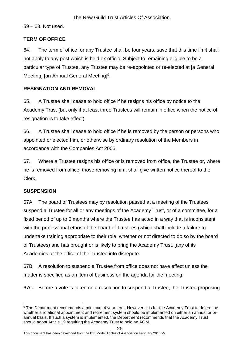59 – 63. Not used.

#### <span id="page-25-0"></span>**TERM OF OFFICE**

64. The term of office for any Trustee shall be four years, save that this time limit shall not apply to any post which is held ex officio. Subject to remaining eligible to be a particular type of Trustee, any Trustee may be re-appointed or re-elected at [a General Meeting] [an Annual General Meeting]<sup>9</sup>.

#### **RESIGNATION AND REMOVAL**

65. A Trustee shall cease to hold office if he resigns his office by notice to the Academy Trust (but only if at least three Trustees will remain in office when the notice of resignation is to take effect).

66. A Trustee shall cease to hold office if he is removed by the person or persons who appointed or elected him, or otherwise by ordinary resolution of the Members in accordance with the Companies Act 2006.

67. Where a Trustee resigns his office or is removed from office, the Trustee or, where he is removed from office, those removing him, shall give written notice thereof to the Clerk.

#### <span id="page-25-1"></span>**SUSPENSION**

67A. The board of Trustees may by resolution passed at a meeting of the Trustees suspend a Trustee for all or any meetings of the Academy Trust, or of a committee, for a fixed period of up to 6 months where the Trustee has acted in a way that is inconsistent with the professional ethos of the board of Trustees (which shall include a failure to undertake training appropriate to their role, whether or not directed to do so by the board of Trustees) and has brought or is likely to bring the Academy Trust, [any of its Academies or the office of the Trustee into disrepute.

67B. A resolution to suspend a Trustee from office does not have effect unless the matter is specified as an item of business on the agenda for the meeting.

67C. Before a vote is taken on a resolution to suspend a Trustee, the Trustee proposing

This document has been developed from the DfE Model Aricles of Association February 2016 v5

<sup>-</sup><sup>9</sup> The Department recommends a minimum 4 year term. However, it is for the Academy Trust to determine whether a rotational appointment and retirement system should be implemented on either an annual or biannual basis. If such a system is implemented, the Department recommends that the Academy Trust should adopt Article 19 requiring the Academy Trust to hold an AGM.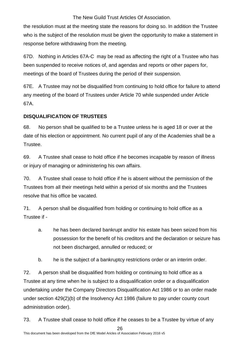the resolution must at the meeting state the reasons for doing so. In addition the Trustee who is the subject of the resolution must be given the opportunity to make a statement in response before withdrawing from the meeting.

67D. Nothing in Articles 67A-C may be read as affecting the right of a Trustee who has been suspended to receive notices of, and agendas and reports or other papers for, meetings of the board of Trustees during the period of their suspension.

67E. A Trustee may not be disqualified from continuing to hold office for failure to attend any meeting of the board of Trustees under Article 70 while suspended under Article 67A.

#### <span id="page-26-0"></span>**DISQUALIFICATION OF TRUSTEES**

68. No person shall be qualified to be a Trustee unless he is aged 18 or over at the date of his election or appointment. No current pupil of any of the Academies shall be a Trustee.

69. A Trustee shall cease to hold office if he becomes incapable by reason of illness or injury of managing or administering his own affairs.

70. A Trustee shall cease to hold office if he is absent without the permission of the Trustees from all their meetings held within a period of six months and the Trustees resolve that his office be vacated.

71. A person shall be disqualified from holding or continuing to hold office as a Trustee if -

- a. he has been declared bankrupt and/or his estate has been seized from his possession for the benefit of his creditors and the declaration or seizure has not been discharged, annulled or reduced; or
- b. he is the subject of a bankruptcy restrictions order or an interim order.

72. A person shall be disqualified from holding or continuing to hold office as a Trustee at any time when he is subject to a disqualification order or a disqualification undertaking under the Company Directors Disqualification Act 1986 or to an order made under section 429(2)(b) of the Insolvency Act 1986 (failure to pay under county court administration order).

73. A Trustee shall cease to hold office if he ceases to be a Trustee by virtue of any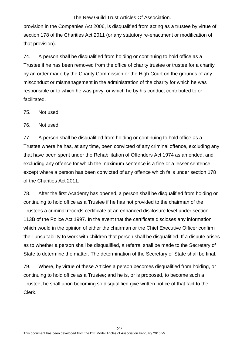provision in the Companies Act 2006, is disqualified from acting as a trustee by virtue of section 178 of the Charities Act 2011 (or any statutory re-enactment or modification of that provision).

74. A person shall be disqualified from holding or continuing to hold office as a Trustee if he has been removed from the office of charity trustee or trustee for a charity by an order made by the Charity Commission or the High Court on the grounds of any misconduct or mismanagement in the administration of the charity for which he was responsible or to which he was privy, or which he by his conduct contributed to or facilitated.

75. Not used.

76. Not used.

77. A person shall be disqualified from holding or continuing to hold office as a Trustee where he has, at any time, been convicted of any criminal offence, excluding any that have been spent under the Rehabilitation of Offenders Act 1974 as amended, and excluding any offence for which the maximum sentence is a fine or a lesser sentence except where a person has been convicted of any offence which falls under section 178 of the Charities Act 2011.

78. After the first Academy has opened, a person shall be disqualified from holding or continuing to hold office as a Trustee if he has not provided to the chairman of the Trustees a criminal records certificate at an enhanced disclosure level under section 113B of the Police Act 1997. In the event that the certificate discloses any information which would in the opinion of either the chairman or the Chief Executive Officer confirm their unsuitability to work with children that person shall be disqualified. If a dispute arises as to whether a person shall be disqualified, a referral shall be made to the Secretary of State to determine the matter. The determination of the Secretary of State shall be final.

79. Where, by virtue of these Articles a person becomes disqualified from holding, or continuing to hold office as a Trustee; and he is, or is proposed, to become such a Trustee, he shall upon becoming so disqualified give written notice of that fact to the Clerk.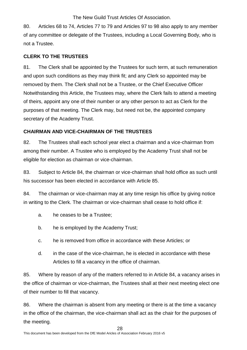80. Articles 68 to 74, Articles 77 to 79 and Articles 97 to 98 also apply to any member of any committee or delegate of the Trustees, including a Local Governing Body, who is not a Trustee.

#### <span id="page-28-0"></span>**CLERK TO THE TRUSTEES**

81. The Clerk shall be appointed by the Trustees for such term, at such remuneration and upon such conditions as they may think fit; and any Clerk so appointed may be removed by them. The Clerk shall not be a Trustee, or the Chief Executive Officer Notwithstanding this Article, the Trustees may, where the Clerk fails to attend a meeting of theirs, appoint any one of their number or any other person to act as Clerk for the purposes of that meeting. The Clerk may, but need not be, the appointed company secretary of the Academy Trust.

#### <span id="page-28-1"></span>**CHAIRMAN AND VICE-CHAIRMAN OF THE TRUSTEES**

82. The Trustees shall each school year elect a chairman and a vice-chairman from among their number. A Trustee who is employed by the Academy Trust shall not be eligible for election as chairman or vice-chairman.

83. Subject to Article 84, the chairman or vice-chairman shall hold office as such until his successor has been elected in accordance with Article 85.

84. The chairman or vice-chairman may at any time resign his office by giving notice in writing to the Clerk. The chairman or vice-chairman shall cease to hold office if:

- a. he ceases to be a Trustee;
- b. he is employed by the Academy Trust;
- c. he is removed from office in accordance with these Articles; or
- d. in the case of the vice-chairman, he is elected in accordance with these Articles to fill a vacancy in the office of chairman.

85. Where by reason of any of the matters referred to in Article 84, a vacancy arises in the office of chairman or vice-chairman, the Trustees shall at their next meeting elect one of their number to fill that vacancy.

86. Where the chairman is absent from any meeting or there is at the time a vacancy in the office of the chairman, the vice-chairman shall act as the chair for the purposes of the meeting.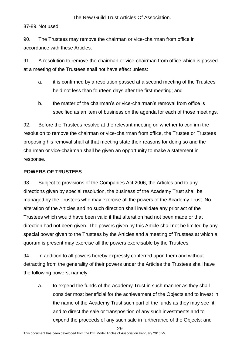87-89. Not used.

90. The Trustees may remove the chairman or vice-chairman from office in accordance with these Articles.

91. A resolution to remove the chairman or vice-chairman from office which is passed at a meeting of the Trustees shall not have effect unless:

- a. it is confirmed by a resolution passed at a second meeting of the Trustees held not less than fourteen days after the first meeting; and
- b. the matter of the chairman's or vice-chairman's removal from office is specified as an item of business on the agenda for each of those meetings.

92. Before the Trustees resolve at the relevant meeting on whether to confirm the resolution to remove the chairman or vice-chairman from office, the Trustee or Trustees proposing his removal shall at that meeting state their reasons for doing so and the chairman or vice-chairman shall be given an opportunity to make a statement in response.

#### <span id="page-29-0"></span>**POWERS OF TRUSTEES**

93. Subject to provisions of the Companies Act 2006, the Articles and to any directions given by special resolution, the business of the Academy Trust shall be managed by the Trustees who may exercise all the powers of the Academy Trust. No alteration of the Articles and no such direction shall invalidate any prior act of the Trustees which would have been valid if that alteration had not been made or that direction had not been given. The powers given by this Article shall not be limited by any special power given to the Trustees by the Articles and a meeting of Trustees at which a quorum is present may exercise all the powers exercisable by the Trustees.

94. In addition to all powers hereby expressly conferred upon them and without detracting from the generality of their powers under the Articles the Trustees shall have the following powers, namely:

a. to expend the funds of the Academy Trust in such manner as they shall consider most beneficial for the achievement of the Objects and to invest in the name of the Academy Trust such part of the funds as they may see fit and to direct the sale or transposition of any such investments and to expend the proceeds of any such sale in furtherance of the Objects; and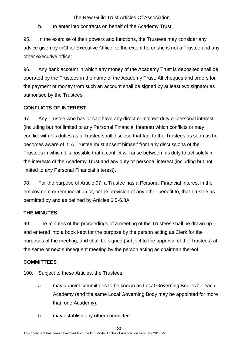b. to enter into contracts on behalf of the Academy Trust.

95. In the exercise of their powers and functions, the Trustees may consider any advice given by thChief Executive Officer to the extent he or she is not a Trustee and any other executive officer.

96. Any bank account in which any money of the Academy Trust is deposited shall be operated by the Trustees in the name of the Academy Trust. All cheques and orders for the payment of money from such an account shall be signed by at least two signatories authorised by the Trustees.

#### <span id="page-30-0"></span>**CONFLICTS OF INTEREST**

97. Any Trustee who has or can have any direct or indirect duty or personal interest (including but not limited to any Personal Financial Interest) which conflicts or may conflict with his duties as a Trustee shall disclose that fact to the Trustees as soon as he becomes aware of it. A Trustee must absent himself from any discussions of the Trustees in which it is possible that a conflict will arise between his duty to act solely in the interests of the Academy Trust and any duty or personal interest (including but not limited to any Personal Financial Interest).

98. For the purpose of Article 97, a Trustee has a Personal Financial Interest in the employment or remuneration of, or the provision of any other benefit to, that Trustee as permitted by and as defined by Articles 6.5-6.8A.

#### <span id="page-30-1"></span>**THE MINUTES**

99. The minutes of the proceedings of a meeting of the Trustees shall be drawn up and entered into a book kept for the purpose by the person acting as Clerk for the purposes of the meeting; and shall be signed (subject to the approval of the Trustees) at the same or next subsequent meeting by the person acting as chairman thereof.

#### <span id="page-30-2"></span>**COMMITTEES**

100. Subject to these Articles, the Trustees:

- a. may appoint committees to be known as Local Governing Bodies for each Academy (and the same Local Governing Body may be appointed for more than one Academy);
- b. may establish any other committee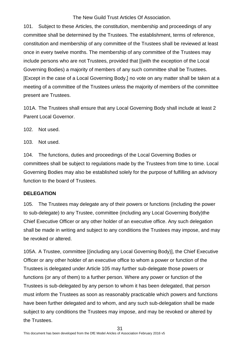101. Subject to these Articles, the constitution, membership and proceedings of any committee shall be determined by the Trustees. The establishment, terms of reference, constitution and membership of any committee of the Trustees shall be reviewed at least once in every twelve months. The membership of any committee of the Trustees may include persons who are not Trustees, provided that [(with the exception of the Local Governing Bodies) a majority of members of any such committee shall be Trustees. [Except in the case of a Local Governing Body,] no vote on any matter shall be taken at a meeting of a committee of the Trustees unless the majority of members of the committee present are Trustees.

101A. The Trustees shall ensure that any Local Governing Body shall include at least 2 Parent Local Governor.

102. Not used.

103. Not used.

104. The functions, duties and proceedings of the Local Governing Bodies or committees shall be subject to regulations made by the Trustees from time to time. Local Governing Bodies may also be established solely for the purpose of fulfilling an advisory function to the board of Trustees.

#### <span id="page-31-0"></span>**DELEGATION**

105. The Trustees may delegate any of their powers or functions (including the power to sub-delegate) to any Trustee, committee (including any Local Governing Body)the Chief Executive Officer or any other holder of an executive office. Any such delegation shall be made in writing and subject to any conditions the Trustees may impose, and may be revoked or altered.

105A. A Trustee, committee [(including any Local Governing Body)], the Chief Executive Officer or any other holder of an executive office to whom a power or function of the Trustees is delegated under Article 105 may further sub-delegate those powers or functions (or any of them) to a further person. Where any power or function of the Trustees is sub-delegated by any person to whom it has been delegated, that person must inform the Trustees as soon as reasonably practicable which powers and functions have been further delegated and to whom, and any such sub-delegation shall be made subject to any conditions the Trustees may impose, and may be revoked or altered by the Trustees.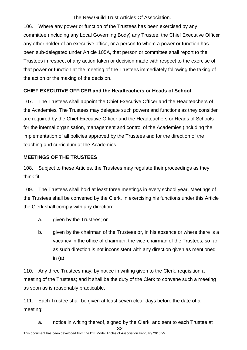106. Where any power or function of the Trustees has been exercised by any committee (including any Local Governing Body) any Trustee, the Chief Executive Officer any other holder of an executive office, or a person to whom a power or function has been sub-delegated under Article 105A, that person or committee shall report to the Trustees in respect of any action taken or decision made with respect to the exercise of that power or function at the meeting of the Trustees immediately following the taking of the action or the making of the decision.

#### <span id="page-32-0"></span>**CHIEF EXECUTIVE OFFICER and the Headteachers or Heads of School**

107. The Trustees shall appoint the Chief Executive Officer and the Headteachers of the Academies*.* The Trustees may delegate such powers and functions as they consider are required by the Chief Executive Officer and the Headteachers or Heads of Schools for the internal organisation, management and control of the Academies (including the implementation of all policies approved by the Trustees and for the direction of the teaching and curriculum at the Academies.

#### <span id="page-32-1"></span>**MEETINGS OF THE TRUSTEES**

108. Subject to these Articles, the Trustees may regulate their proceedings as they think fit.

109. The Trustees shall hold at least three meetings in every school year. Meetings of the Trustees shall be convened by the Clerk. In exercising his functions under this Article the Clerk shall comply with any direction:

- a. given by the Trustees; or
- b. given by the chairman of the Trustees or, in his absence or where there is a vacancy in the office of chairman, the vice-chairman of the Trustees, so far as such direction is not inconsistent with any direction given as mentioned in (a).

110. Any three Trustees may, by notice in writing given to the Clerk, requisition a meeting of the Trustees; and it shall be the duty of the Clerk to convene such a meeting as soon as is reasonably practicable.

111. Each Trustee shall be given at least seven clear days before the date of a meeting:

32 a. notice in writing thereof, signed by the Clerk, and sent to each Trustee at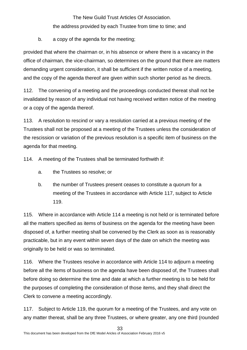### The New Guild Trust Articles Of Association. the address provided by each Trustee from time to time; and

b. a copy of the agenda for the meeting;

provided that where the chairman or, in his absence or where there is a vacancy in the office of chairman, the vice-chairman, so determines on the ground that there are matters demanding urgent consideration, it shall be sufficient if the written notice of a meeting, and the copy of the agenda thereof are given within such shorter period as he directs.

112. The convening of a meeting and the proceedings conducted thereat shall not be invalidated by reason of any individual not having received written notice of the meeting or a copy of the agenda thereof.

113. A resolution to rescind or vary a resolution carried at a previous meeting of the Trustees shall not be proposed at a meeting of the Trustees unless the consideration of the rescission or variation of the previous resolution is a specific item of business on the agenda for that meeting.

114. A meeting of the Trustees shall be terminated forthwith if:

- a. the Trustees so resolve; or
- b. the number of Trustees present ceases to constitute a quorum for a meeting of the Trustees in accordance with Article 117, subject to Article 119.

115. Where in accordance with Article 114 a meeting is not held or is terminated before all the matters specified as items of business on the agenda for the meeting have been disposed of, a further meeting shall be convened by the Clerk as soon as is reasonably practicable, but in any event within seven days of the date on which the meeting was originally to be held or was so terminated.

116. Where the Trustees resolve in accordance with Article 114 to adjourn a meeting before all the items of business on the agenda have been disposed of, the Trustees shall before doing so determine the time and date at which a further meeting is to be held for the purposes of completing the consideration of those items, and they shall direct the Clerk to convene a meeting accordingly.

117. Subject to Article 119, the quorum for a meeting of the Trustees, and any vote on any matter thereat, shall be any three Trustees, or where greater, any one third (rounded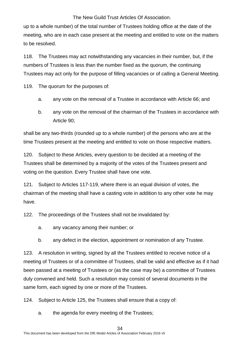up to a whole number) of the total number of Trustees holding office at the date of the meeting, who are in each case present at the meeting and entitled to vote on the matters to be resolved.

118. The Trustees may act notwithstanding any vacancies in their number, but, if the numbers of Trustees is less than the number fixed as the quorum, the continuing Trustees may act only for the purpose of filling vacancies or of calling a General Meeting.

119. The quorum for the purposes of:

- a. any vote on the removal of a Trustee in accordance with Article 66; and
- b. any vote on the removal of the chairman of the Trustees in accordance with Article 90;

shall be any two-thirds (rounded up to a whole number) of the persons who are at the time Trustees present at the meeting and entitled to vote on those respective matters.

120. Subject to these Articles, every question to be decided at a meeting of the Trustees shall be determined by a majority of the votes of the Trustees present and voting on the question. Every Trustee shall have one vote.

121. Subject to Articles 117-119, where there is an equal division of votes, the chairman of the meeting shall have a casting vote in addition to any other vote he may have.

122. The proceedings of the Trustees shall not be invalidated by:

- a. any vacancy among their number; or
- b. any defect in the election, appointment or nomination of any Trustee.

123. A resolution in writing, signed by all the Trustees entitled to receive notice of a meeting of Trustees or of a committee of Trustees, shall be valid and effective as if it had been passed at a meeting of Trustees or (as the case may be) a committee of Trustees duly convened and held. Such a resolution may consist of several documents in the same form, each signed by one or more of the Trustees.

124. Subject to Article 125, the Trustees shall ensure that a copy of:

a. the agenda for every meeting of the Trustees;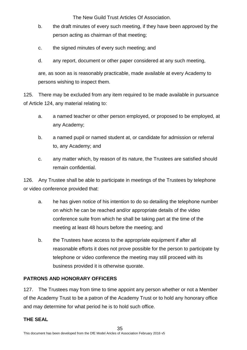- b. the draft minutes of every such meeting, if they have been approved by the person acting as chairman of that meeting;
- c. the signed minutes of every such meeting; and
- d. any report, document or other paper considered at any such meeting,

are, as soon as is reasonably practicable, made available at every Academy to persons wishing to inspect them.

125. There may be excluded from any item required to be made available in pursuance of Article 124, any material relating to:

- a. a named teacher or other person employed, or proposed to be employed, at any Academy;
- b. a named pupil or named student at, or candidate for admission or referral to, any Academy; and
- c. any matter which, by reason of its nature, the Trustees are satisfied should remain confidential.

126. Any Trustee shall be able to participate in meetings of the Trustees by telephone or video conference provided that:

- a. he has given notice of his intention to do so detailing the telephone number on which he can be reached and/or appropriate details of the video conference suite from which he shall be taking part at the time of the meeting at least 48 hours before the meeting; and
- b. the Trustees have access to the appropriate equipment if after all reasonable efforts it does not prove possible for the person to participate by telephone or video conference the meeting may still proceed with its business provided it is otherwise quorate.

#### <span id="page-35-0"></span>**PATRONS AND HONORARY OFFICERS**

127. The Trustees may from time to time appoint any person whether or not a Member of the Academy Trust to be a patron of the Academy Trust or to hold any honorary office and may determine for what period he is to hold such office.

#### <span id="page-35-1"></span>**THE SEAL**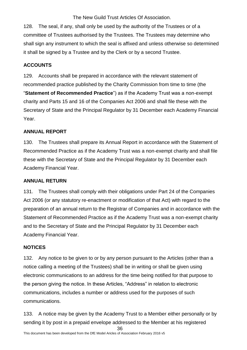128. The seal, if any, shall only be used by the authority of the Trustees or of a committee of Trustees authorised by the Trustees. The Trustees may determine who shall sign any instrument to which the seal is affixed and unless otherwise so determined it shall be signed by a Trustee and by the Clerk or by a second Trustee.

#### <span id="page-36-0"></span>**ACCOUNTS**

129. Accounts shall be prepared in accordance with the relevant statement of recommended practice published by the Charity Commission from time to time (the "**Statement of Recommended Practice**") as if the Academy Trust was a non-exempt charity and Parts 15 and 16 of the Companies Act 2006 and shall file these with the Secretary of State and the Principal Regulator by 31 December each Academy Financial Year.

#### <span id="page-36-1"></span>**ANNUAL REPORT**

130. The Trustees shall prepare its Annual Report in accordance with the Statement of Recommended Practice as if the Academy Trust was a non-exempt charity and shall file these with the Secretary of State and the Principal Regulator by 31 December each Academy Financial Year.

#### <span id="page-36-2"></span>**ANNUAL RETURN**

131. The Trustees shall comply with their obligations under Part 24 of the Companies Act 2006 (or any statutory re-enactment or modification of that Act) with regard to the preparation of an annual return to the Registrar of Companies and in accordance with the Statement of Recommended Practice as if the Academy Trust was a non-exempt charity and to the Secretary of State and the Principal Regulator by 31 December each Academy Financial Year.

#### <span id="page-36-3"></span>**NOTICES**

132. Any notice to be given to or by any person pursuant to the Articles (other than a notice calling a meeting of the Trustees) shall be in writing or shall be given using electronic communications to an address for the time being notified for that purpose to the person giving the notice. In these Articles, "Address" in relation to electronic communications, includes a number or address used for the purposes of such communications.

133. A notice may be given by the Academy Trust to a Member either personally or by sending it by post in a prepaid envelope addressed to the Member at his registered

<sup>36</sup>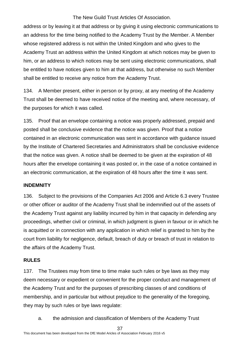address or by leaving it at that address or by giving it using electronic communications to an address for the time being notified to the Academy Trust by the Member. A Member whose registered address is not within the United Kingdom and who gives to the Academy Trust an address within the United Kingdom at which notices may be given to him, or an address to which notices may be sent using electronic communications, shall be entitled to have notices given to him at that address, but otherwise no such Member shall be entitled to receive any notice from the Academy Trust.

134. A Member present, either in person or by proxy, at any meeting of the Academy Trust shall be deemed to have received notice of the meeting and, where necessary, of the purposes for which it was called.

135. Proof that an envelope containing a notice was properly addressed, prepaid and posted shall be conclusive evidence that the notice was given. Proof that a notice contained in an electronic communication was sent in accordance with guidance issued by the Institute of Chartered Secretaries and Administrators shall be conclusive evidence that the notice was given. A notice shall be deemed to be given at the expiration of 48 hours after the envelope containing it was posted or, in the case of a notice contained in an electronic communication, at the expiration of 48 hours after the time it was sent.

#### <span id="page-37-0"></span>**INDEMNITY**

136. Subject to the provisions of the Companies Act 2006 and Article 6.3 every Trustee or other officer or auditor of the Academy Trust shall be indemnified out of the assets of the Academy Trust against any liability incurred by him in that capacity in defending any proceedings, whether civil or criminal, in which judgment is given in favour or in which he is acquitted or in connection with any application in which relief is granted to him by the court from liability for negligence, default, breach of duty or breach of trust in relation to the affairs of the Academy Trust.

#### <span id="page-37-1"></span>**RULES**

137. The Trustees may from time to time make such rules or bye laws as they may deem necessary or expedient or convenient for the proper conduct and management of the Academy Trust and for the purposes of prescribing classes of and conditions of membership, and in particular but without prejudice to the generality of the foregoing, they may by such rules or bye laws regulate:

a. the admission and classification of Members of the Academy Trust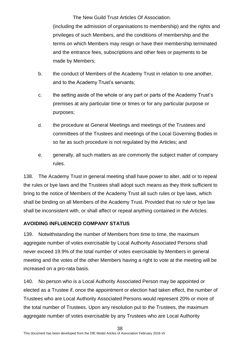(including the admission of organisations to membership) and the rights and privileges of such Members, and the conditions of membership and the terms on which Members may resign or have their membership terminated and the entrance fees, subscriptions and other fees or payments to be made by Members;

- b. the conduct of Members of the Academy Trust in relation to one another, and to the Academy Trust's servants;
- c. the setting aside of the whole or any part or parts of the Academy Trust's premises at any particular time or times or for any particular purpose or purposes;
- d. the procedure at General Meetings and meetings of the Trustees and committees of the Trustees and meetings of the Local Governing Bodies in so far as such procedure is not regulated by the Articles; and
- e. generally, all such matters as are commonly the subject matter of company rules.

138. The Academy Trust in general meeting shall have power to alter, add or to repeal the rules or bye laws and the Trustees shall adopt such means as they think sufficient to bring to the notice of Members of the Academy Trust all such rules or bye laws, which shall be binding on all Members of the Academy Trust. Provided that no rule or bye law shall be inconsistent with, or shall affect or repeal anything contained in the Articles.

#### <span id="page-38-0"></span>**AVOIDING INFLUENCED COMPANY STATUS**

139. Notwithstanding the number of Members from time to time, the maximum aggregate number of votes exercisable by Local Authority Associated Persons shall never exceed 19.9% of the total number of votes exercisable by Members in general meeting and the votes of the other Members having a right to vote at the meeting will be increased on a pro-rata basis.

140. No person who is a Local Authority Associated Person may be appointed or elected as a Trustee if, once the appointment or election had taken effect, the number of Trustees who are Local Authority Associated Persons would represent 20% or more of the total number of Trustees. Upon any resolution put to the Trustees, the maximum aggregate number of votes exercisable by any Trustees who are Local Authority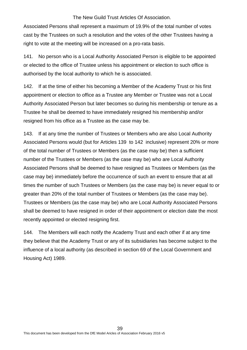Associated Persons shall represent a maximum of 19.9% of the total number of votes cast by the Trustees on such a resolution and the votes of the other Trustees having a right to vote at the meeting will be increased on a pro-rata basis.

141. No person who is a Local Authority Associated Person is eligible to be appointed or elected to the office of Trustee unless his appointment or election to such office is authorised by the local authority to which he is associated.

142. If at the time of either his becoming a Member of the Academy Trust or his first appointment or election to office as a Trustee any Member or Trustee was not a Local Authority Associated Person but later becomes so during his membership or tenure as a Trustee he shall be deemed to have immediately resigned his membership and/or resigned from his office as a Trustee as the case may be.

143. If at any time the number of Trustees or Members who are also Local Authority Associated Persons would (but for Articles 139 to 142 inclusive) represent 20% or more of the total number of Trustees or Members (as the case may be) then a sufficient number of the Trustees or Members (as the case may be) who are Local Authority Associated Persons shall be deemed to have resigned as Trustees or Members (as the case may be) immediately before the occurrence of such an event to ensure that at all times the number of such Trustees or Members (as the case may be) is never equal to or greater than 20% of the total number of Trustees or Members (as the case may be). Trustees or Members (as the case may be) who are Local Authority Associated Persons shall be deemed to have resigned in order of their appointment or election date the most recently appointed or elected resigning first.

144. The Members will each notify the Academy Trust and each other if at any time they believe that the Academy Trust or any of its subsidiaries has become subject to the influence of a local authority (as described in section 69 of the Local Government and Housing Act) 1989.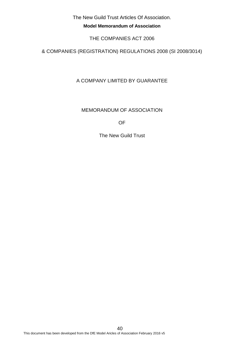**Model Memorandum of Association**

THE COMPANIES ACT 2006

& COMPANIES (REGISTRATION) REGULATIONS 2008 (SI 2008/3014)

A COMPANY LIMITED BY GUARANTEE

MEMORANDUM OF ASSOCIATION

OF

The New Guild Trust